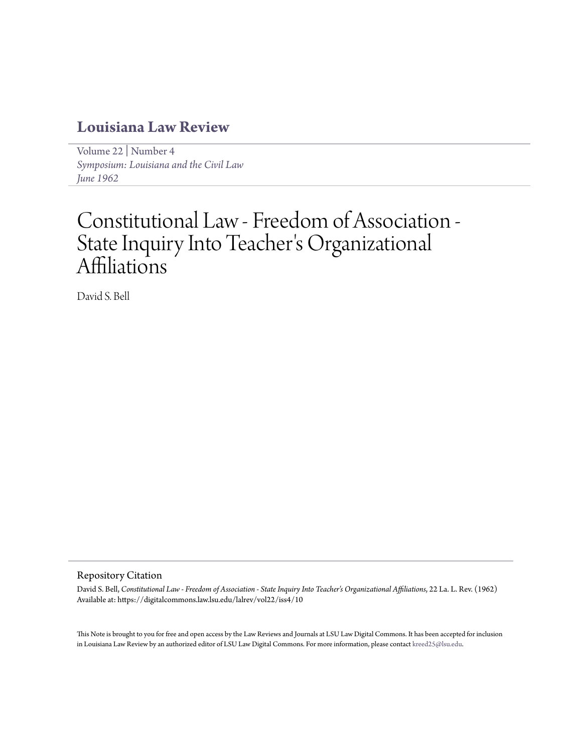## **[Louisiana Law Review](https://digitalcommons.law.lsu.edu/lalrev)**

[Volume 22](https://digitalcommons.law.lsu.edu/lalrev/vol22) | [Number 4](https://digitalcommons.law.lsu.edu/lalrev/vol22/iss4) *[Symposium: Louisiana and the Civil Law](https://digitalcommons.law.lsu.edu/lalrev/vol22/iss4) [June 1962](https://digitalcommons.law.lsu.edu/lalrev/vol22/iss4)*

# Constitutional Law - Freedom of Association - State Inquiry Into Teacher 's Organizational Affiliations

David S. Bell

#### Repository Citation

David S. Bell, *Constitutional Law - Freedom of Association - State Inquiry Into Teacher's Organizational Affiliations*, 22 La. L. Rev. (1962) Available at: https://digitalcommons.law.lsu.edu/lalrev/vol22/iss4/10

This Note is brought to you for free and open access by the Law Reviews and Journals at LSU Law Digital Commons. It has been accepted for inclusion in Louisiana Law Review by an authorized editor of LSU Law Digital Commons. For more information, please contact [kreed25@lsu.edu](mailto:kreed25@lsu.edu).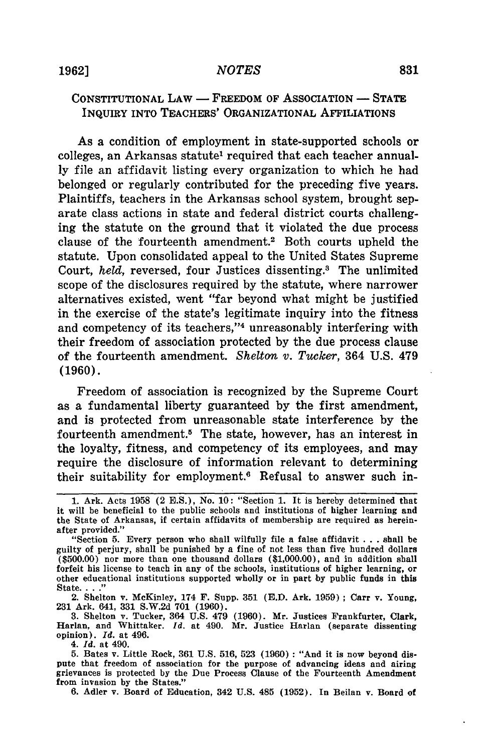### CONSTITUTIONAL LAW **-** FREEDOM OF ASSOCIATION **- STATE** INQUIRY INTO **TEACHERS'** ORGANIZATIONAL **AFFILIATIONS**

As a condition of employment in state-supported schools or colleges, an Arkansas statute' required that each teacher annual**ly** file an affidavit listing every organization to which he had belonged or regularly contributed for the preceding five years. Plaintiffs, teachers in the Arkansas school system, brought separate class actions in state and federal district courts challenging the statute on the ground that it violated the due process clause of the fourteenth amendment.<sup>2</sup> Both courts upheld the statute. Upon consolidated appeal to the United States Supreme Court, *held*, reversed, four Justices dissenting.<sup>3</sup> The unlimited scope of the disclosures required **by** the statute, where narrower alternatives existed, went "far beyond what might be justified in the exercise of the state's legitimate inquiry into the fitness and competency of its teachers,"<sup>4</sup> unreasonably interfering with their freedom of association protected **by** the due process clause of the fourteenth amendment. *Shelton v. Tucker,* 364 **U.S.** 479 **(1960).**

Freedom of association is recognized **by** the Supreme Court as a fundamental liberty guaranteed **by** the first amendment, and is protected from unreasonable state interference **by** the fourteenth amendment.5 The state, however, has an interest in the loyalty, fitness, and competency of its employees, and may require the disclosure of information relevant to determining their suitability for employment.<sup>6</sup> Refusal to answer such in-

State **.. "** 2. Shelton v. McKinley, 174 F. Supp. **351 (E.D.** Ark. **1959) ;** Carr v. Young, **231** Ark. 641, **331 S.W.2d 701 (1960).**

**3.** Shelton v. Tucker, 364 **U.S.** 479 **(1960).** Mr. Justices Frankfurter, Clark, Harlan, and Whittaker. *Id.* at 490. Mr. Justice Harlan (separate dissenting opinion). *Id.* at 496.

4. *Id.* at 490.

**5.** Bates v. Little Rock, **361 U.S. 516, 523 (1960) :** "And it is now beyond dispute that freedom of association for the purpose of advancing ideas and airing grievances is protected **by** the Due Process Clause of the Fourteenth Amendment from invasion **by** the States."

**6.** Adler v. Board of Education, 342 **U.S.** 485 **(1952).** In Beilan v. Board of

**<sup>1.</sup>** Ark. Acts **1958** (2 **B.S.),** No. **10:** "Section **1.** It is hereby determined that it will be beneficial to the public schools and institutions of higher learning and the State of Arkansas, if certain affidavits of membership are required as hereinafter provided."

<sup>&</sup>quot;Section **5.** Every person who shall wilfully file a false affidavit **.. .**shall be guilty of perjury, shall be punished **by** a fine of not less than five hundred dollars **(\$500.00)** nor more than one thousand dollars **(\$1,000.00),** and in addition shall forfeit his license to teach in any of the schools, institutions of higher learning, or other educational institutions supported wholly or in part **by** public funds in this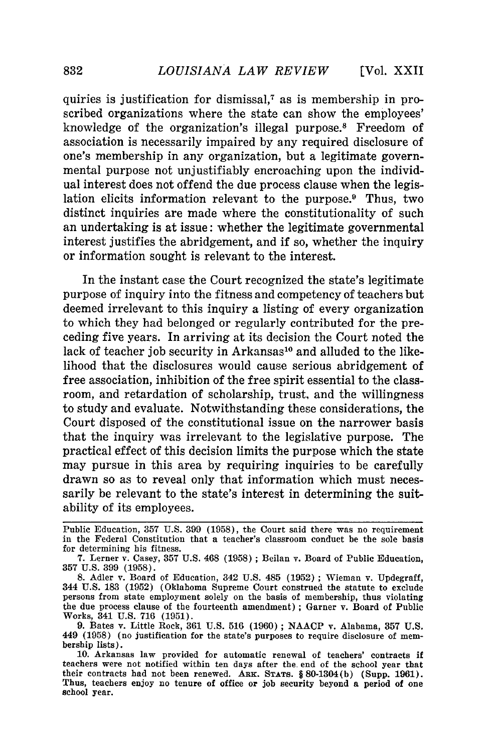quiries is justification for dismissal,7 as is membership in proscribed organizations where the state can show the employees' knowledge of the organization's illegal purpose.<sup>8</sup> Freedom of association is necessarily impaired by any required disclosure of one's membership in any organization, but a legitimate governmental purpose not unjustifiably encroaching upon the individual interest does not offend the due process clause when the legislation elicits information relevant to the purpose.<sup>9</sup> Thus, two distinct inquiries are made where the constitutionality of such an undertaking is at issue: whether the legitimate governmental interest justifies the abridgement, and if so, whether the inquiry or information sought is relevant to the interest.

In the instant case the Court recognized the state's legitimate purpose of inquiry into the fitness and competency of teachers but deemed irrelevant to this inquiry a listing of every organization to which they had belonged or regularly contributed for the preceding five years. In arriving at its decision the Court noted the lack of teacher job security in Arkansas<sup>10</sup> and alluded to the likelihood that the disclosures would cause serious abridgement of free association, inhibition of the free spirit essential to the classroom, and retardation of scholarship, trust, and the willingness to study and evaluate. Notwithstanding these considerations, the Court disposed of the constitutional issue on the narrower basis that the inquiry was irrelevant to the legislative purpose. The practical effect of this decision limits the purpose which the state may pursue in this area by requiring inquiries to be carefully drawn so as to reveal only that information which must necessarily be relevant to the state's interest in determining the suitability of its employees.

Public Education, **357** U.S. 399 (1958), the Court said there was no requirement in the Federal Constitution that a teacher's classroom conduct be the sole basis for determining his fitness.

<sup>7.</sup> Lerner v. Casey, 357 U.S. 468 (1958) ; Beilan v. Board of Public Education, 357 U.S. 399 (1958).

**<sup>8.</sup>** Adler v. Board of Education, 342 U.S. 485 (1952) ; Wieman v. Updegraff, 344 U.S. 183 (1952) (Oklahoma Supreme Court construed the statute to exclude persons from state employment solely on the basis of membership, thus violating the due process clause of the fourteenth amendment) ; Garner v. Board of Public Works, 341 U.S. 716 (1951).

<sup>9.</sup> Bates v. Little Rock, 361 U.S. 516 (1960) ; NAACP v. Alabama, 357 U.S. 449 (1958) (no justification for the state's purposes to require disclosure of membership lists).

<sup>10.</sup> Arkansas law provided for automatic renewal of teachers' contracts if teachers were not notified within ten days after the end of the school year that their contracts had not been renewed. **ARK. STATS.** § 80-1304(b) (Supp. 1961). Thus, teachers enjoy no tenure of office or job security beyond a period of one school year.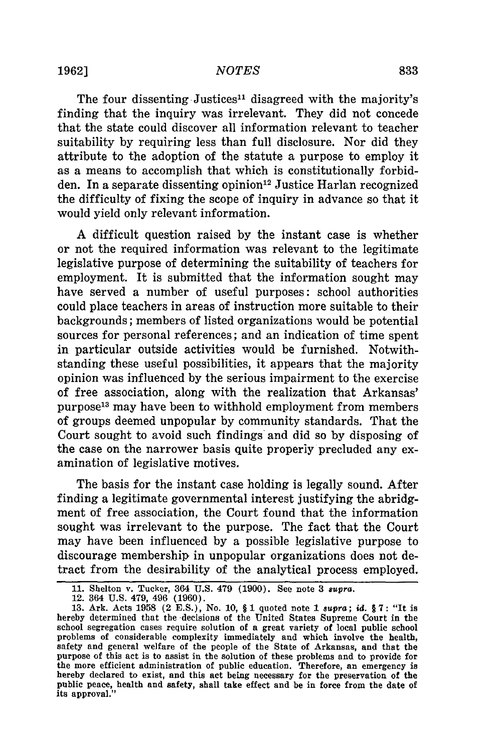#### *NOTES*

The four dissenting Justices<sup>11</sup> disagreed with the majority's finding that the inquiry was irrelevant. They did not concede that the state could discover all information relevant to teacher suitability by requiring less than full disclosure. Nor did they attribute to the adoption of the statute a purpose to employ it as a means to accomplish that which is constitutionally forbidden. In a separate dissenting opinion<sup>12</sup> Justice Harlan recognized the difficulty of fixing the scope of inquiry in advance so that it would yield only relevant information.

A difficult question raised by the instant case is whether or not the required information was relevant to the legitimate legislative purpose of determining the suitability of teachers for employment. It is submitted that the information sought may have served a number of useful purposes: school authorities could place teachers in areas of instruction more suitable to their backgrounds; members of listed organizations would be potential sources for personal references; and an indication of time spent in particular outside activities would be furnished. Notwithstanding these useful possibilities, it appears that the majority opinion was influenced by the serious impairment to the exercise of free association, along with the realization that Arkansas' purpose13 may have been to withhold employment from members of groups deemed unpopular by community standards. That the Court sought to avoid such findings and did so by disposing of the case on the narrower basis quite properly precluded any examination of legislative motives.

The basis for the instant case holding is legally sound. After finding a legitimate governmental interest justifying the abridgment of free association, the Court found that the information sought was irrelevant to the purpose. The fact that the Court may have been influenced by a possible legislative purpose to discourage membership in unpopular organizations does not detract from the desirability of the analytical process employed.

<sup>11.</sup> Shelton v. Tucker, 364 U.S. 479 (1900). See note 3 *supra.*

<sup>12. 364</sup> U.S. 479, 496 (1960).

<sup>13.</sup> Ark. Acts 1958 (2 E.S.), No. 10, § 1 quoted note 1 *supra; id.* § 7: "It is hereby determined that the decisions of the United States Supreme Court in the school segregation cases require solution of a great variety of local public school problems of considerable complexity immediately and which involve the health, safety and general welfare of the people of the State of Arkansas, and that the purpose of this act is to assist in the solution of these problems and to provide for the more efficient administration of public education. Therefore, an emergency is hereby declared to exist, and this act being necessary for the preservation of the public peace, health and safety, shall take effect and be in force from the date of its approval."